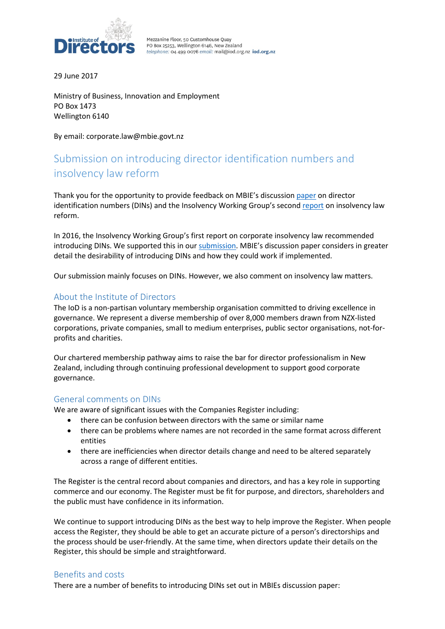

Mezzanine Floor, 50 Customhouse Quay PO Box 25253, Wellington 6146, New Zealand telephone: 04 499 0076 email: mail@iod.org.nz iod.org.nz

29 June 2017

Ministry of Business, Innovation and Employment PO Box 1473 Wellington 6140

By email: corporate.law@mbie.govt.nz

# Submission on introducing director identification numbers and insolvency law reform

Thank you for the opportunity to provide feedback on MBIE's discussion [paper](http://www.mbie.govt.nz/info-services/business/business-law/insolvency-law-working-group/report-no-2-voidable-transactions-ponzi-schemes-other-corporate-insolvency-matters/consultation-on-whether-to-introduce-a-director-identification-number.pdf) on director identification numbers (DINs) and the Insolvency Working Group's secon[d report](http://www.mbie.govt.nz/info-services/business/business-law/insolvency-law-working-group/report-no-2-voidable-transactions-ponzi-schemes-other-corporate-insolvency-matters/consultation-document-report-no.2-review-of-corporate-insolvency-law.pdf) on insolvency law reform.

In 2016, the Insolvency Working Group's first report on corporate insolvency law recommended introducing DINs. We supported this in our [submission.](https://www.iod.org.nz/Portals/0/GNDI/IoD%20submissions/IoD%20submission%20on%20corporate%20insolvency%20laws%203%20October%202016.pdf) MBIE's discussion paper considers in greater detail the desirability of introducing DINs and how they could work if implemented.

Our submission mainly focuses on DINs. However, we also comment on insolvency law matters.

## About the Institute of Directors

The IoD is a non-partisan voluntary membership organisation committed to driving excellence in governance. We represent a diverse membership of over 8,000 members drawn from NZX-listed corporations, private companies, small to medium enterprises, public sector organisations, not-forprofits and charities.

Our chartered membership pathway aims to raise the bar for director professionalism in New Zealand, including through continuing professional development to support good corporate governance.

## General comments on DINs

We are aware of significant issues with the Companies Register including:

- there can be confusion between directors with the same or similar name
- there can be problems where names are not recorded in the same format across different entities
- there are inefficiencies when director details change and need to be altered separately across a range of different entities.

The Register is the central record about companies and directors, and has a key role in supporting commerce and our economy. The Register must be fit for purpose, and directors, shareholders and the public must have confidence in its information.

We continue to support introducing DINs as the best way to help improve the Register. When people access the Register, they should be able to get an accurate picture of a person's directorships and the process should be user-friendly. At the same time, when directors update their details on the Register, this should be simple and straightforward.

#### Benefits and costs

There are a number of benefits to introducing DINs set out in MBIEs discussion paper: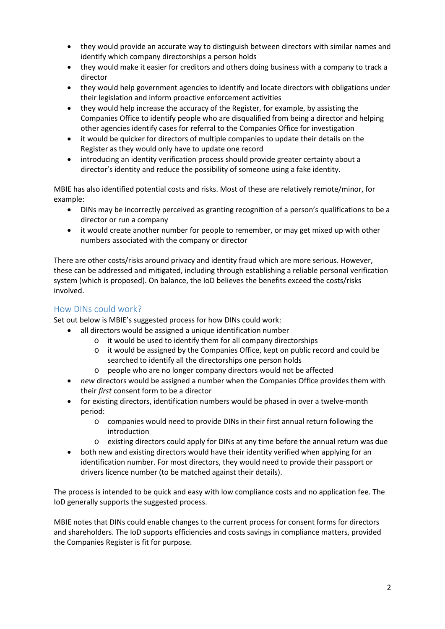- they would provide an accurate way to distinguish between directors with similar names and identify which company directorships a person holds
- they would make it easier for creditors and others doing business with a company to track a director
- they would help government agencies to identify and locate directors with obligations under their legislation and inform proactive enforcement activities
- they would help increase the accuracy of the Register, for example, by assisting the Companies Office to identify people who are disqualified from being a director and helping other agencies identify cases for referral to the Companies Office for investigation
- it would be quicker for directors of multiple companies to update their details on the Register as they would only have to update one record
- introducing an identity verification process should provide greater certainty about a director's identity and reduce the possibility of someone using a fake identity.

MBIE has also identified potential costs and risks. Most of these are relatively remote/minor, for example:

- DINs may be incorrectly perceived as granting recognition of a person's qualifications to be a director or run a company
- it would create another number for people to remember, or may get mixed up with other numbers associated with the company or director

There are other costs/risks around privacy and identity fraud which are more serious. However, these can be addressed and mitigated, including through establishing a reliable personal verification system (which is proposed). On balance, the IoD believes the benefits exceed the costs/risks involved.

## How DINs could work?

Set out below is MBIE's suggested process for how DINs could work:

- all directors would be assigned a unique identification number
	- o it would be used to identify them for all company directorships
	- o it would be assigned by the Companies Office, kept on public record and could be searched to identify all the directorships one person holds
	- o people who are no longer company directors would not be affected
- *new* directors would be assigned a number when the Companies Office provides them with their *first* consent form to be a director
- for existing directors, identification numbers would be phased in over a twelve-month period:
	- o companies would need to provide DINs in their first annual return following the introduction
	- o existing directors could apply for DINs at any time before the annual return was due
- both new and existing directors would have their identity verified when applying for an identification number. For most directors, they would need to provide their passport or drivers licence number (to be matched against their details).

The process is intended to be quick and easy with low compliance costs and no application fee. The IoD generally supports the suggested process.

MBIE notes that DINs could enable changes to the current process for consent forms for directors and shareholders. The IoD supports efficiencies and costs savings in compliance matters, provided the Companies Register is fit for purpose.